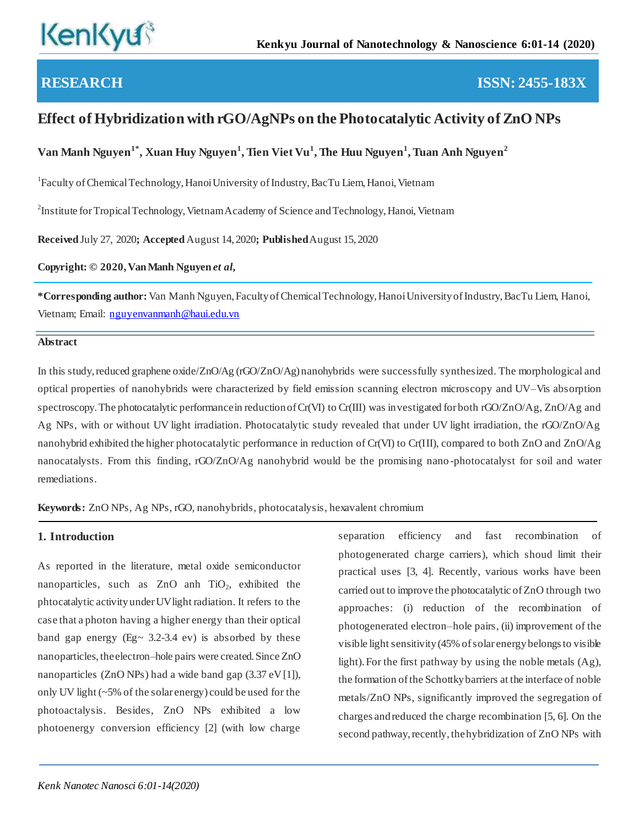# **RESEARCH ISSN: 2455-183X**

# **Effect of Hybridization with rGO/AgNPs on the Photocatalytic Activity of ZnO NPs**

**Van Manh Nguyen1\*, Xuan Huy Nguyen<sup>1</sup> , Tien Viet Vu<sup>1</sup> , The Huu Nguyen<sup>1</sup> , Tuan Anh Nguyen<sup>2</sup>**

<sup>1</sup>Faculty of Chemical Technology, Hanoi University of Industry, BacTu Liem, Hanoi, Vietnam

 $2^2$ Institute for Tropical Technology, Vietnam Academy of Science and Technology, Hanoi, Vietnam

**Received** July 27, 2020**; Accepted** August 14, 2020**; Published** August 15, 2020

**Copyright: © 2020, Van Manh Nguyen** *et al,*

**\*Corresponding author:** Van Manh Nguyen, Faculty of Chemical Technology, Hanoi University of Industry, BacTu Liem, Hanoi, Vietnam; Email: [nguyenvanmanh@haui.edu.vn](mailto:nguyenvanmanh@haui.edu.vn)

### **Abstract**

In this study, reduced graphene oxide/ZnO/Ag (rGO/ZnO/Ag) nanohybrids were successfully synthesized. The morphological and optical properties of nanohybrids were characterized by field emission scanning electron microscopy and UV–Vis absorption spectroscopy. The photocatalytic performance in reduction of Cr(VI) to Cr(III) was investigated for both rGO/ZnO/Ag, ZnO/Ag and Ag NPs, with or without UV light irradiation. Photocatalytic study revealed that under UV light irradiation, the rGO/ZnO/Ag nanohybrid exhibited the higher photocatalytic performance in reduction of Cr(VI) to Cr(III), compared to both ZnO and ZnO/Ag nanocatalysts. From this finding, rGO/ZnO/Ag nanohybrid would be the promising nano -photocatalyst for soil and water remediations.

**Keywords:** ZnO NPs, Ag NPs, rGO, nanohybrids, photocatalysis, hexavalent chromium

### **1. Introduction**

As reported in the literature, metal oxide semiconductor nanoparticles, such as  $ZnO$  anh  $TiO<sub>2</sub>$ , exhibited the phtocatalytic activity under UV light radiation. It refers to the case that a photon having a higher energy than their optical band gap energy (Eg $\sim$  3.2-3.4 ev) is absorbed by these nanoparticles, the electron–hole pairs were created. Since ZnO nanoparticles (ZnO NPs) had a wide band gap (3.37 eV [1]), only UV light (~5% of the solar energy) could be used for the photoactalysis. Besides, ZnO NPs exhibited a low photoenergy conversion efficiency [2] (with low charge

separation efficiency and fast recombination of photogenerated charge carriers), which shoud limit their practical uses [3, 4]. Recently, various works have been carried out to improve the photocatalytic of ZnO through two approaches: (i) reduction of the recombination of photogenerated electron–hole pairs, (ii) improvement of the visible light sensitivity (45% of solar energy belongs to visible light). For the first pathway by using the noble metals (Ag), the formation of the Schottky barriers at the interface of noble metals/ZnO NPs, significantly improved the segregation of charges and reduced the charge recombination [5, 6]. On the second pathway, recently, the hybridization of ZnO NPs with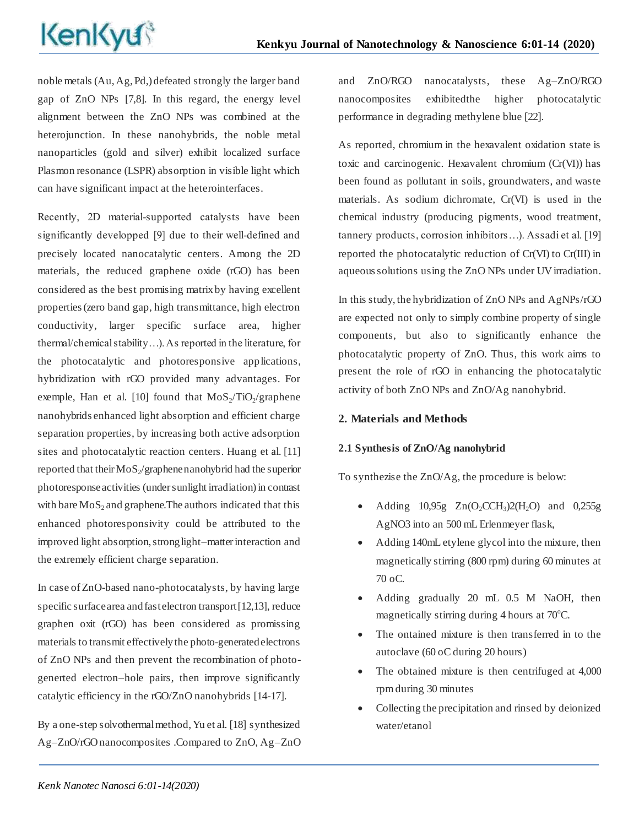noble metals (Au, Ag, Pd,) defeated strongly the larger band gap of ZnO NPs [7,8]. In this regard, the energy level alignment between the ZnO NPs was combined at the heterojunction. In these nanohybrids, the noble metal nanoparticles (gold and silver) exhibit localized surface Plasmon resonance (LSPR) absorption in visible light which can have significant impact at the heterointerfaces.

Recently, 2D material-supported catalysts have been significantly developped [9] due to their well-defined and precisely located nanocatalytic centers. Among the 2D materials, the reduced graphene oxide (rGO) has been considered as the best promising matrix by having excellent properties (zero band gap, high transmittance, high electron conductivity, larger specific surface area, higher thermal/chemical stability…). As reported in the literature, for the photocatalytic and photoresponsive applications, hybridization with rGO provided many advantages. For exemple, Han et al. [10] found that  $MoS_2/TiO_2/graphene$ nanohybrids enhanced light absorption and efficient charge separation properties, by increasing both active adsorption sites and photocatalytic reaction centers. Huang et al. [11] reported that their  $MoS_2$ /graphene nanohybrid had the superior photoresponse activities (under sunlight irradiation) in contrast with bare  $MoS<sub>2</sub>$  and graphene. The authors indicated that this enhanced photoresponsivity could be attributed to the improved light absorption, strong light–matter interaction and the extremely efficient charge separation.

In case of ZnO-based nano-photocatalysts, by having large specific surface area and fast electron transport [12,13], reduce graphen oxit (rGO) has been considered as promissing materials to transmit effectively the photo-generated electrons of ZnO NPs and then prevent the recombination of photogenerted electron–hole pairs, then improve significantly catalytic efficiency in the rGO/ZnO nanohybrids [14-17].

By a one-step solvothermal method, Yu et al. [18] synthesized Ag–ZnO/rGO nanocomposites .Compared to ZnO, Ag–ZnO and ZnO/RGO nanocatalysts, these Ag–ZnO/RGO nanocomposites exhibitedthe higher photocatalytic performance in degrading methylene blue [22].

As reported, chromium in the hexavalent oxidation state is toxic and carcinogenic. Hexavalent chromium (Cr(VI)) has been found as pollutant in soils, groundwaters, and waste materials. As sodium dichromate, Cr(VI) is used in the chemical industry (producing pigments, wood treatment, tannery products, corrosion inhibitors…). Assadi et al. [19] reported the photocatalytic reduction of Cr(VI) to Cr(III) in aqueous solutions using the ZnO NPs under UV irradiation.

In this study, the hybridization of ZnO NPs and AgNPs/rGO are expected not only to simply combine property of single components, but also to significantly enhance the photocatalytic property of ZnO. Thus, this work aims to present the role of rGO in enhancing the photocatalytic activity of both ZnO NPs and ZnO/Ag nanohybrid.

## **2. Materials and Methods**

### **2.1 Synthesis of ZnO/Ag nanohybrid**

To synthezise the ZnO/Ag, the procedure is below:

- Adding  $10.95g$   $Zn(O_2CCH_3)2(H_2O)$  and  $0.255g$ AgNO3 into an 500 mL Erlenmeyer flask,
- Adding 140mL etylene glycol into the mixture, then magnetically stirring (800 rpm) during 60 minutes at 70 oC.
- Adding gradually 20 mL 0.5 M NaOH, then magnetically stirring during  $4$  hours at 70 $^{\circ}$ C.
- The ontained mixture is then transferred in to the autoclave (60 oC during 20 hours)
- The obtained mixture is then centrifuged at 4,000 rpm during 30 minutes
- Collecting the precipitation and rinsed by deionized water/etanol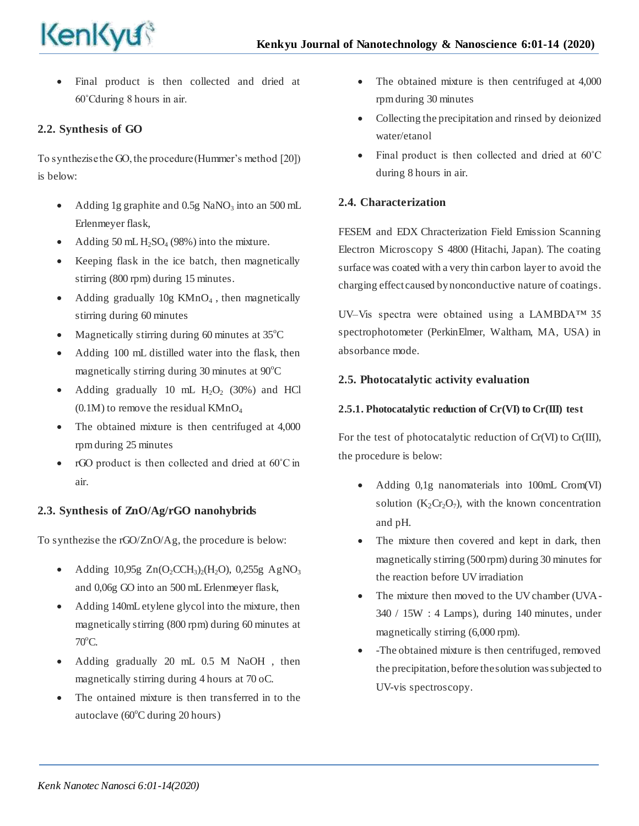

 Final product is then collected and dried at 60˚Cduring 8 hours in air.

# **2.2. Synthesis of GO**

To synthezise the GO, the procedure (Hummer's method [20]) is below:

- Adding 1g graphite and  $0.5g$  NaNO<sub>3</sub> into an 500 mL Erlenmeyer flask,
- Adding 50 mL  $H_2SO_4$  (98%) into the mixture.
- Keeping flask in the ice batch, then magnetically stirring (800 rpm) during 15 minutes.
- Adding gradually  $10g$  KMnO<sub>4</sub>, then magnetically stirring during 60 minutes
- Magnetically stirring during 60 minutes at  $35^{\circ}$ C
- Adding 100 mL distilled water into the flask, then magnetically stirring during 30 minutes at  $90^{\circ}$ C
- Adding gradually 10 mL  $H_2O_2$  (30%) and HCl  $(0.1M)$  to remove the residual KMnO<sub>4</sub>
- The obtained mixture is then centrifuged at 4,000 rpm during 25 minutes
- rGO product is then collected and dried at 60˚C in air.

## **2.3. Synthesis of ZnO/Ag/rGO nanohybrids**

To synthezise the rGO/ZnO/Ag, the procedure is below:

- Adding 10,95g  $Zn(O_2CCH_3)_2(H_2O)$ , 0,255g AgNO<sub>3</sub> and 0,06g GO into an 500 mL Erlenmeyer flask,
- Adding 140mL etylene glycol into the mixture, then magnetically stirring (800 rpm) during 60 minutes at  $70^{\circ}$ C.
- Adding gradually 20 mL 0.5 M NaOH , then magnetically stirring during 4 hours at 70 oC.
- The ontained mixture is then transferred in to the autoclave  $(60^{\circ}$ C during 20 hours)
- The obtained mixture is then centrifuged at 4,000 rpm during 30 minutes
- Collecting the precipitation and rinsed by deionized water/etanol
- Final product is then collected and dried at 60˚C during 8 hours in air.

## **2.4. Characterization**

FESEM and EDX Chracterization Field Emission Scanning Electron Microscopy S 4800 (Hitachi, Japan). The coating surface was coated with a very thin carbon layer to avoid the charging effect caused by nonconductive nature of coatings.

UV–Vis spectra were obtained using a LAMBDA™ 35 spectrophotometer (PerkinElmer, Waltham, MA, USA) in absorbance mode.

## **2.5. Photocatalytic activity evaluation**

## **2.5.1. Photocatalytic reduction of Cr(VI) to Cr(III) test**

For the test of photocatalytic reduction of Cr(VI) to Cr(III), the procedure is below:

- Adding 0,1g nanomaterials into 100mL Crom(VI) solution  $(K_2Cr_2O_7)$ , with the known concentration and pH.
- The mixture then covered and kept in dark, then magnetically stirring (500 rpm) during 30 minutes for the reaction before UV irradiation
- The mixture then moved to the UV chamber (UVA-340 / 15W : 4 Lamps), during 140 minutes, under magnetically stirring (6,000 rpm).
- -The obtained mixture is then centrifuged, removed the precipitation, before the solution was subjected to UV-vis spectroscopy.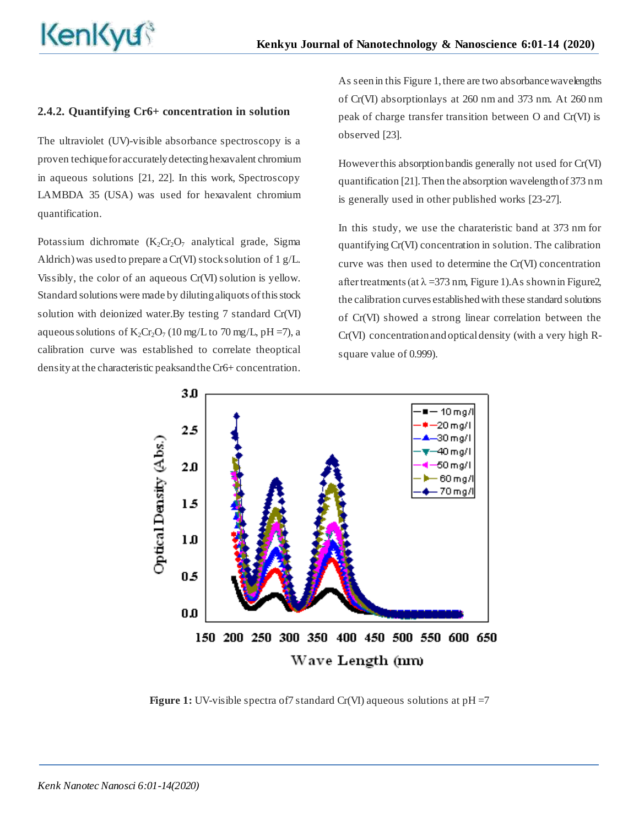### **2.4.2. Quantifying Cr6+ concentration in solution**

The ultraviolet (UV)-visible absorbance spectroscopy is a proven techique for accurately detecting hexavalent chromium in aqueous solutions [21, 22]. In this work, Spectroscopy LAMBDA 35 (USA) was used for hexavalent chromium quantification.

Potassium dichromate  $(K_2Cr_2O_7$  analytical grade, Sigma Aldrich) was used to prepare a Cr(VI) stock solution of 1 g/L. Vissibly, the color of an aqueous Cr(VI) solution is yellow. Standard solutions were made by diluting aliquots of this stock solution with deionized water.By testing 7 standard Cr(VI) aqueous solutions of  $K_2Cr_2O_7$  (10 mg/L to 70 mg/L, pH =7), a calibration curve was established to correlate theoptical density at the characteristic peaksand the Cr6+ concentration.

As seen in this Figure 1, there are two absorbance wavelengths of Cr(VI) absorptionlays at 260 nm and 373 nm. At 260 nm peak of charge transfer transition between O and Cr(VI) is observed [23].

However this absorption bandis generally not used for Cr(VI) quantification [21]. Then the absorption wavelength of 373 nm is generally used in other published works [23-27].

In this study, we use the charateristic band at 373 nm for quantifying Cr(VI) concentration in solution. The calibration curve was then used to determine the Cr(VI) concentration after treatments (at  $\lambda$  =373 nm, Figure 1). As shown in Figure 2, the calibration curves established with these standard solutions of Cr(VI) showed a strong linear correlation between the Cr(VI) concentration and optical density (with a very high Rsquare value of 0.999).



**Figure 1:** UV-visible spectra of 7 standard Cr(VI) aqueous solutions at pH = 7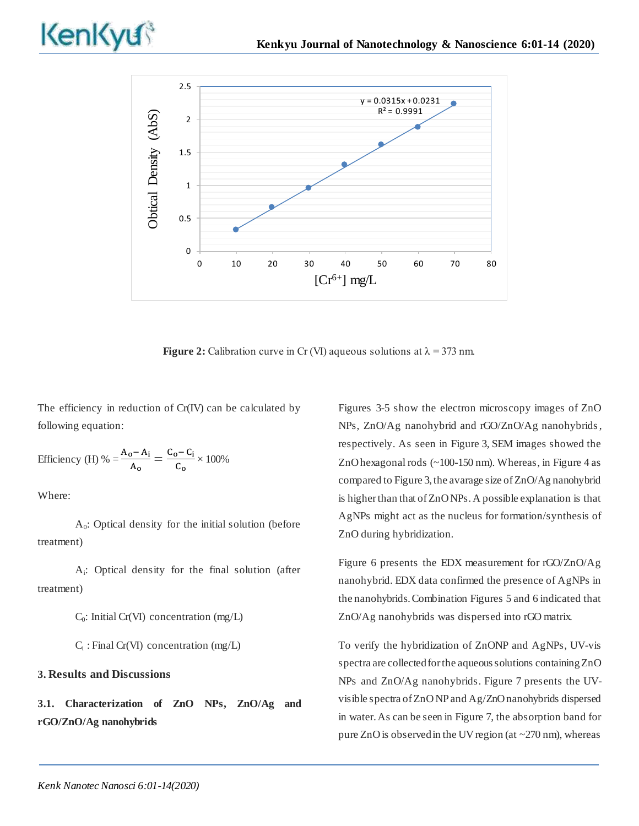



**Figure 2:** Calibration curve in Cr (VI) aqueous solutions at  $\lambda = 373$  nm.

The efficiency in reduction of Cr(IV) can be calculated by following equation:

Efficiency (H) % = 
$$
\frac{A_0 - A_i}{A_0} = \frac{C_0 - C_i}{C_0} \times 100\%
$$

Where:

A0 : Optical density for the initial solution (before treatment)

Ai : Optical density for the final solution (after treatment)

C<sub>0</sub>: Initial Cr(VI) concentration (mg/L)

 $C_i$ : Final Cr(VI) concentration (mg/L)

### **3. Results and Discussions**

**3.1. Characterization of ZnO NPs, ZnO/Ag and rGO/ZnO/Ag nanohybrids**

Figures 3-5 show the electron microscopy images of ZnO NPs, ZnO/Ag nanohybrid and rGO/ZnO/Ag nanohybrids, respectively. As seen in Figure 3, SEM images showed the ZnO hexagonal rods (~100-150 nm). Whereas, in Figure 4 as compared to Figure 3, the avarage size of ZnO/Ag nanohybrid is higher than that of ZnO NPs. A possible explanation is that AgNPs might act as the nucleus for formation/synthesis of ZnO during hybridization.

Figure 6 presents the EDX measurement for rGO/ZnO/Ag nanohybrid. EDX data confirmed the presence of AgNPs in the nanohybrids. Combination Figures 5 and 6 indicated that ZnO/Ag nanohybrids was dispersed into rGO matrix.

To verify the hybridization of ZnONP and AgNPs, UV-vis spectra are collected for the aqueous solutions containing ZnO NPs and ZnO/Ag nanohybrids. Figure 7 presents the UVvisible spectra of ZnO NP and Ag/ZnO nanohybrids dispersed in water. As can be seen in Figure 7, the absorption band for pure ZnO is observed in the UV region (at  $\sim$ 270 nm), whereas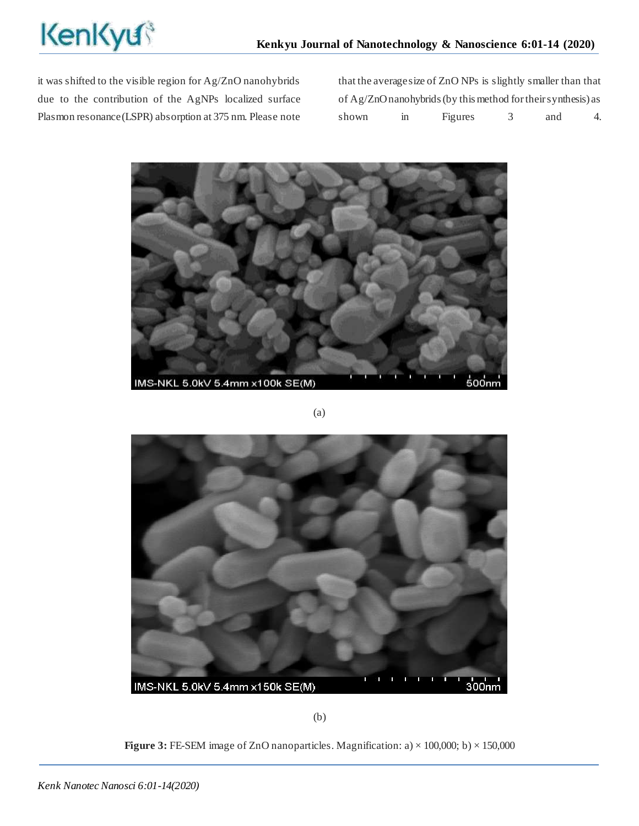it was shifted to the visible region for Ag/ZnO nanohybrids due to the contribution of the AgNPs localized surface Plasmon resonance (LSPR) absorption at 375 nm. Please note that the average size of ZnO NPs is slightly smaller than that of Ag/ZnO nanohybrids (by this method for their synthesis) as shown in Figures 3 and 4.



(a)



(b)

**Figure 3:** FE-SEM image of ZnO nanoparticles. Magnification: a)  $\times$  100,000; b)  $\times$  150,000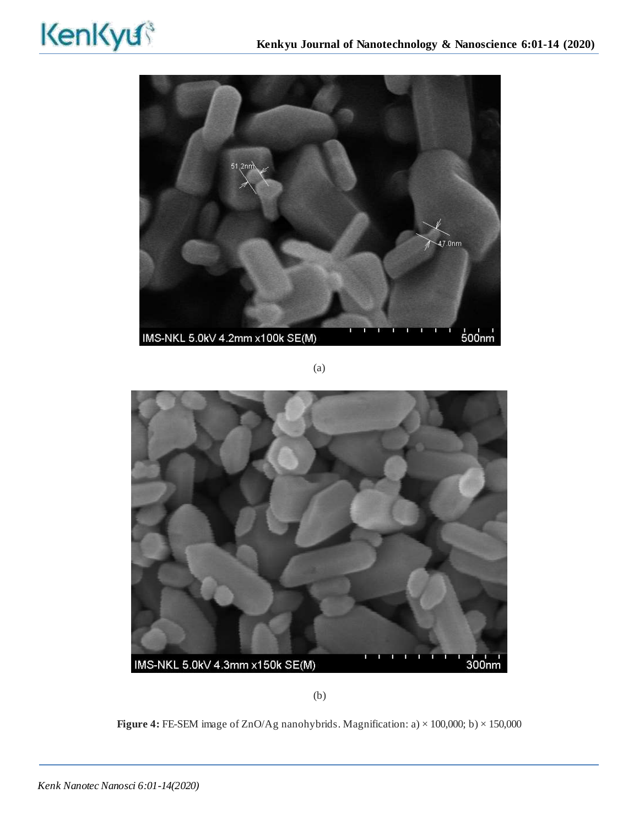

(a)



(b)

**Figure 4:** FE-SEM image of ZnO/Ag nanohybrids. Magnification: a) × 100,000; b) × 150,000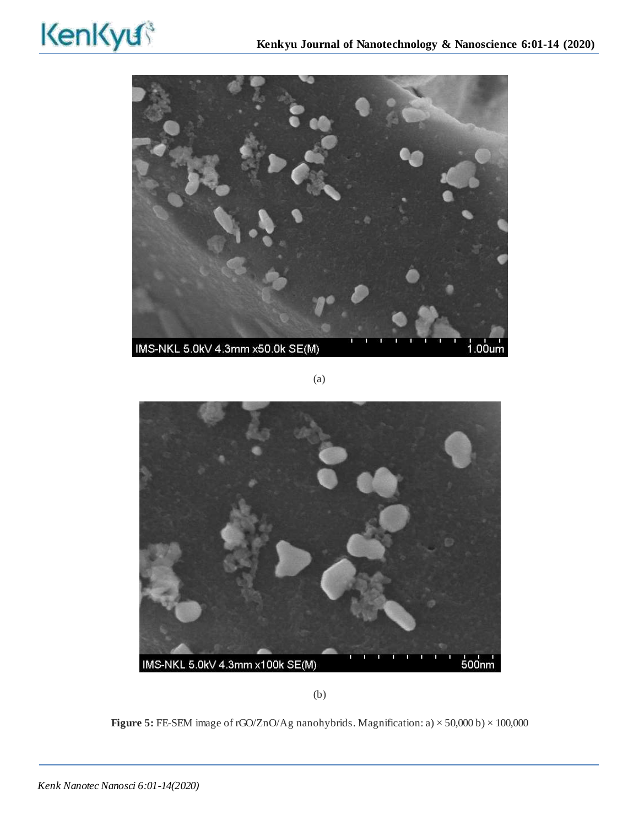

(a)



(b)

**Figure 5:** FE-SEM image of rGO/ZnO/Ag nanohybrids. Magnification: a) × 50,000 b) × 100,000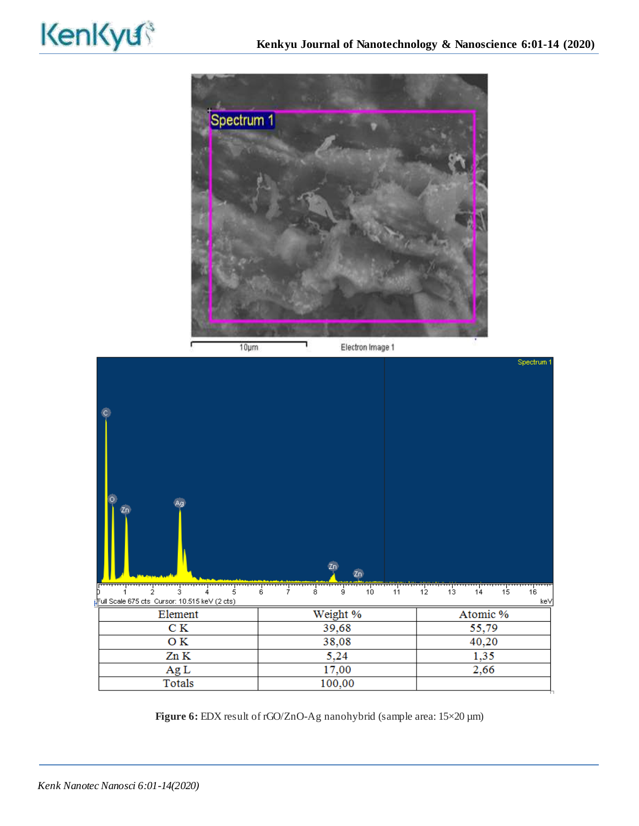



**Figure 6:** EDX result of rGO/ZnO-Ag nanohybrid (sample area: 15×20 µm)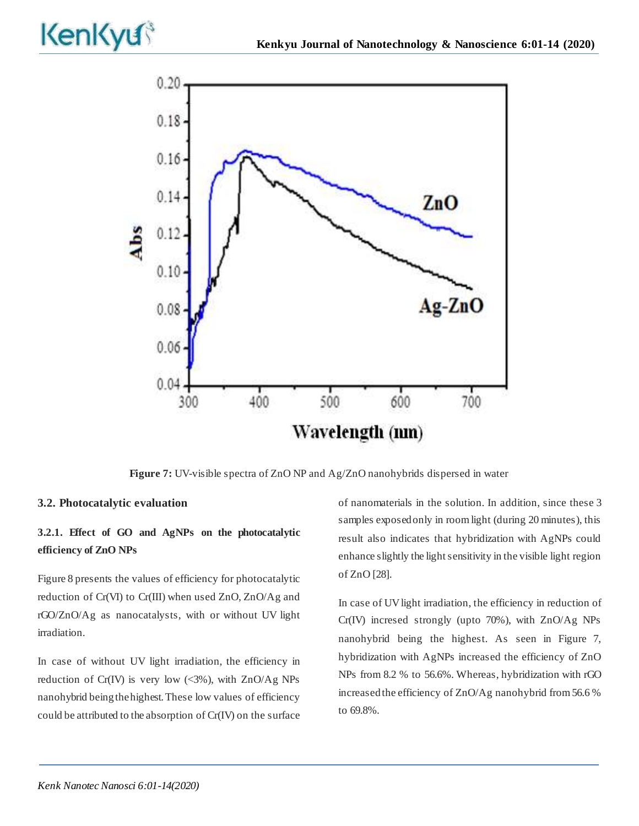

**Figure 7:** UV-visible spectra of ZnO NP and Ag/ZnO nanohybrids dispersed in water

### **3.2. Photocatalytic evaluation**

# **3.2.1. Effect of GO and AgNPs on the photocatalytic efficiency of ZnO NPs**

Figure 8 presents the values of efficiency for photocatalytic reduction of Cr(VI) to Cr(III) when used ZnO, ZnO/Ag and rGO/ZnO/Ag as nanocatalysts, with or without UV light irradiation.

In case of without UV light irradiation, the efficiency in reduction of Cr(IV) is very low  $\langle 3\% \rangle$ , with ZnO/Ag NPs nanohybrid being the highest. These low values of efficiency could be attributed to the absorption of Cr(IV) on the surface of nanomaterials in the solution. In addition, since these 3 samples exposed only in room light (during 20 minutes), this result also indicates that hybridization with AgNPs could enhance slightly the light sensitivity in the visible light region of ZnO [28].

In case of UV light irradiation, the efficiency in reduction of Cr(IV) incresed strongly (upto 70%), with ZnO/Ag NPs nanohybrid being the highest. As seen in Figure 7, hybridization with AgNPs increased the efficiency of ZnO NPs from 8.2 % to 56.6%. Whereas, hybridization with rGO increased the efficiency of ZnO/Ag nanohybrid from 56.6 % to 69.8%.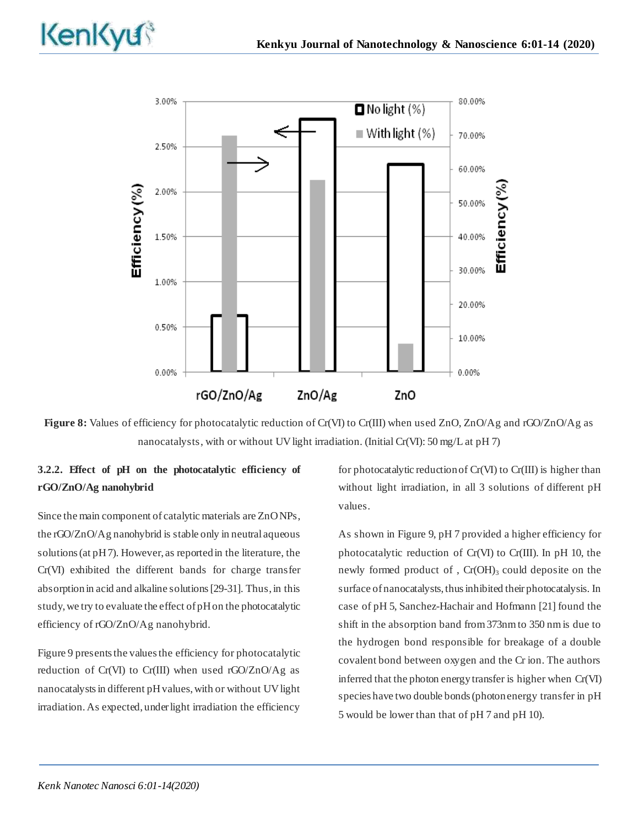



**Figure 8:** Values of efficiency for photocatalytic reduction of Cr(VI) to Cr(III) when used ZnO, ZnO/Ag and rGO/ZnO/Ag as nanocatalysts, with or without UV light irradiation. (Initial Cr(VI): 50 mg/L at pH 7)

# **3.2.2. Effect of pH on the photocatalytic efficiency of rGO/ZnO/Ag nanohybrid**

Since the main component of catalytic materials are ZnO NPs, the rGO/ZnO/Ag nanohybrid is stable only in neutral aqueous solutions (at pH 7). However, as reported in the literature, the Cr(VI) exhibited the different bands for charge transfer absorption in acid and alkaline solutions [29-31]. Thus, in this study, we try to evaluate the effect of pH on the photocatalytic efficiency of rGO/ZnO/Ag nanohybrid.

Figure 9 presents the values the efficiency for photocatalytic reduction of Cr(VI) to Cr(III) when used rGO/ZnO/Ag as nanocatalysts in different pH values, with or without UV light irradiation. As expected, under light irradiation the efficiency

for photocatalytic reduction of Cr(VI) to Cr(III) is higher than without light irradiation, in all 3 solutions of different pH values.

As shown in Figure 9, pH 7 provided a higher efficiency for photocatalytic reduction of Cr(VI) to Cr(III). In pH 10, the newly formed product of,  $Cr(OH)$ <sub>3</sub> could deposite on the surface of nanocatalysts, thus inhibited their photocatalysis. In case of pH 5, Sanchez-Hachair and Hofmann [21] found the shift in the absorption band from 373nm to 350 nm is due to the hydrogen bond responsible for breakage of a double covalent bond between oxygen and the Cr ion. The authors inferred that the photon energy transfer is higher when Cr(VI) species have two double bonds (photon energy transfer in pH 5 would be lower than that of pH 7 and pH 10).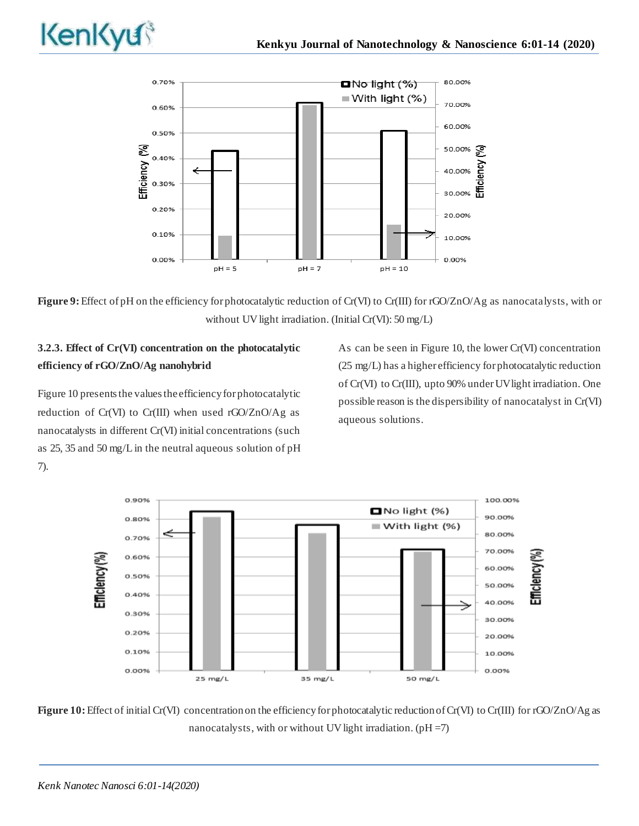

**Figure 9:** Effect of pH on the efficiency for photocatalytic reduction of Cr(VI) to Cr(III) for rGO/ZnO/Ag as nanocatalysts, with or without UV light irradiation. (Initial Cr(VI): 50 mg/L)

# **3.2.3. Effect of Cr(VI) concentration on the photocatalytic efficiency of rGO/ZnO/Ag nanohybrid**

Figure 10 presents the values the efficiency for photocatalytic reduction of Cr(VI) to Cr(III) when used rGO/ZnO/Ag as nanocatalysts in different Cr(VI) initial concentrations (such as 25, 35 and 50 mg/L in the neutral aqueous solution of pH 7).

As can be seen in Figure 10, the lower Cr(VI) concentration (25 mg/L) has a higher efficiency for photocatalytic reduction of Cr(VI) to Cr(III), upto 90% under UV light irradiation. One possible reason is the dispersibility of nanocatalyst in Cr(VI) aqueous solutions.



**Figure 10:**Effect of initial Cr(VI) concentration on the efficiency for photocatalytic reduction of Cr(VI) to Cr(III) for rGO/ZnO/Ag as nanocatalysts, with or without UV light irradiation.  $(pH = 7)$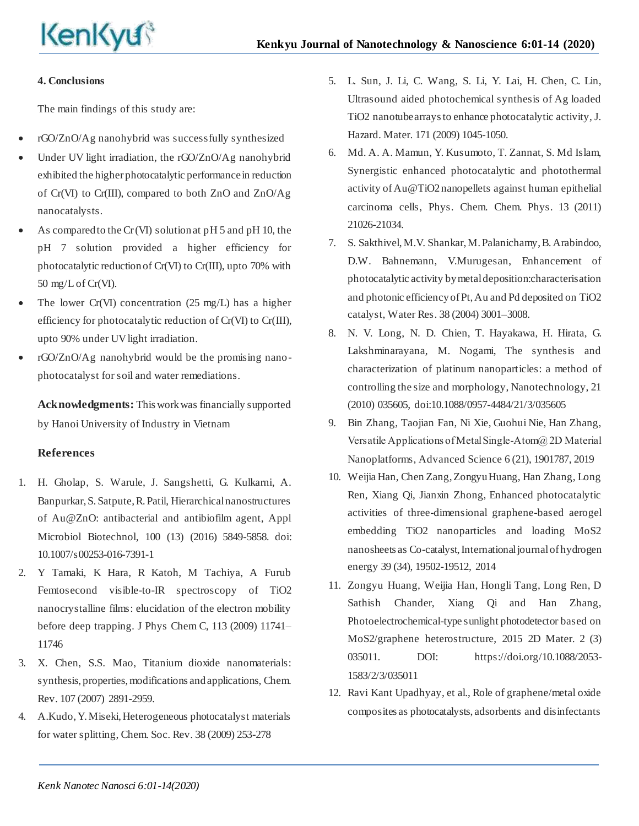## **4. Conclusions**

The main findings of this study are:

- rGO/ZnO/Ag nanohybrid was successfully synthesized
- Under UV light irradiation, the rGO/ZnO/Ag nanohybrid exhibited the higher photocatalytic performance in reduction of Cr(VI) to Cr(III), compared to both ZnO and ZnO/Ag nanocatalysts.
- As compared to the Cr (VI) solution at pH 5 and pH 10, the pH 7 solution provided a higher efficiency for photocatalytic reduction of Cr(VI) to Cr(III), upto 70% with 50 mg/L of Cr(VI).
- The lower Cr(VI) concentration (25 mg/L) has a higher efficiency for photocatalytic reduction of Cr(VI) to Cr(III), upto 90% under UV light irradiation.
- rGO/ZnO/Ag nanohybrid would be the promising nanophotocatalyst for soil and water remediations.

**Acknowledgments:** This work was financially supported by Hanoi University of Industry in Vietnam

## **References**

- 1. H. Gholap, S. Warule, J. Sangshetti, G. Kulkarni, A. Banpurkar, S. Satpute, R. Patil, Hierarchical nanostructures of Au@ZnO: antibacterial and antibiofilm agent, Appl Microbiol Biotechnol, 100 (13) (2016) 5849-5858. doi: 10.1007/s00253-016-7391-1
- 2. Y Tamaki, K Hara, R Katoh, M Tachiya, A Furub Femtosecond visible-to-IR spectroscopy of TiO2 nanocrystalline films: elucidation of the electron mobility before deep trapping. J Phys Chem C, 113 (2009) 11741– 11746
- 3. X. Chen, S.S. Mao, Titanium dioxide nanomaterials: synthesis, properties, modifications and applications, Chem. Rev. 107 (2007) 2891-2959.
- 4. A.Kudo, Y. Miseki, Heterogeneous photocatalyst materials for water splitting, Chem. Soc. Rev. 38 (2009) 253-278
- 5. L. Sun, J. Li, C. Wang, S. Li, Y. Lai, H. Chen, C. Lin, Ultrasound aided photochemical synthesis of Ag loaded TiO2 nanotube arrays to enhance photocatalytic activity, J. Hazard. Mater. 171 (2009) 1045-1050.
- 6. Md. A. A. Mamun, Y. Kusumoto, T. Zannat, S. Md Islam, Synergistic enhanced photocatalytic and photothermal activity of Au@TiO2 nanopellets against human epithelial carcinoma cells, Phys. Chem. Chem. Phys. 13 (2011) 21026-21034.
- 7. S. Sakthivel, M.V. Shankar, M. Palanichamy, B. Arabindoo, D.W. Bahnemann, V.Murugesan, Enhancement of photocatalytic activity by metal deposition:characterisation and photonic efficiency of Pt, Au and Pd deposited on TiO2 catalyst, Water Res. 38 (2004) 3001–3008.
- 8. N. V. Long, N. D. Chien, T. Hayakawa, H. Hirata, G. Lakshminarayana, M. Nogami, The synthesis and characterization of platinum nanoparticles: a method of controlling the size and morphology, Nanotechnology, 21 (2010) 035605, doi:10.1088/0957-4484/21/3/035605
- 9. Bin Zhang, Taojian Fan, Ni Xie, Guohui Nie, Han Zhang, Versatile Applications of Metal Single‐Atom@ 2D Material Nanoplatforms, Advanced Science 6 (21), 1901787, 2019
- 10. Weijia Han, Chen Zang, Zongyu Huang, Han Zhang, Long Ren, Xiang Qi, Jianxin Zhong, Enhanced photocatalytic activities of three-dimensional graphene-based aerogel embedding TiO2 nanoparticles and loading MoS2 nanosheets as Co-catalyst, International journal of hydrogen energy 39 (34), 19502-19512, 2014
- 11. Zongyu Huang, Weijia Han, Hongli Tang, Long Ren, D Sathish Chander, Xiang Qi and Han Zhang, Photoelectrochemical-type sunlight photodetector based on MoS2/graphene heterostructure, 2015 2D Mater. 2 (3) 035011. DOI: https://doi.org/10.1088/2053-1583/2/3/035011
- 12. Ravi Kant Upadhyay, et al., Role of graphene/metal oxide composites as photocatalysts, adsorbents and disinfectants